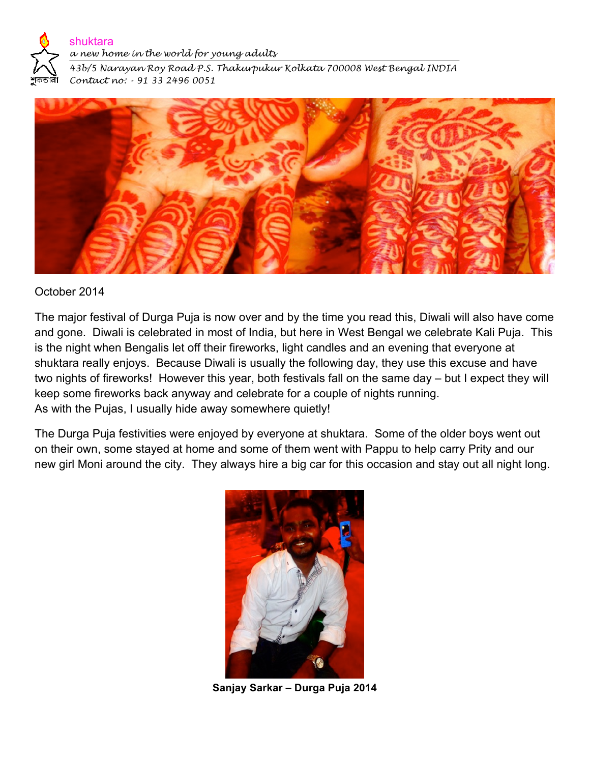

## shuktara

*a new home in the world for young adults*

*43b/5 Narayan Roy Road P.S. Thakurpukur Kolkata 700008 West Bengal INDIA Contact no: - 91 33 2496 0051* 



## October 2014

The major festival of Durga Puja is now over and by the time you read this, Diwali will also have come and gone. Diwali is celebrated in most of India, but here in West Bengal we celebrate Kali Puja. This is the night when Bengalis let off their fireworks, light candles and an evening that everyone at shuktara really enjoys. Because Diwali is usually the following day, they use this excuse and have two nights of fireworks! However this year, both festivals fall on the same day – but I expect they will keep some fireworks back anyway and celebrate for a couple of nights running. As with the Pujas, I usually hide away somewhere quietly!

The Durga Puja festivities were enjoyed by everyone at shuktara. Some of the older boys went out on their own, some stayed at home and some of them went with Pappu to help carry Prity and our new girl Moni around the city. They always hire a big car for this occasion and stay out all night long.



**Sanjay Sarkar – Durga Puja 2014**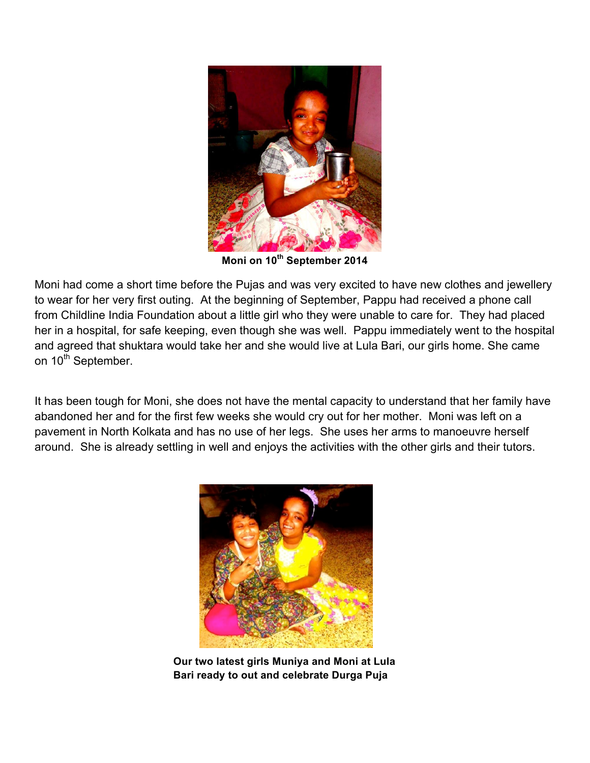

**Moni on 10th September 2014**

Moni had come a short time before the Pujas and was very excited to have new clothes and jewellery to wear for her very first outing. At the beginning of September, Pappu had received a phone call from Childline India Foundation about a little girl who they were unable to care for. They had placed her in a hospital, for safe keeping, even though she was well. Pappu immediately went to the hospital and agreed that shuktara would take her and she would live at Lula Bari, our girls home. She came on 10<sup>th</sup> September.

It has been tough for Moni, she does not have the mental capacity to understand that her family have abandoned her and for the first few weeks she would cry out for her mother. Moni was left on a pavement in North Kolkata and has no use of her legs. She uses her arms to manoeuvre herself around. She is already settling in well and enjoys the activities with the other girls and their tutors.



**Our two latest girls Muniya and Moni at Lula Bari ready to out and celebrate Durga Puja**